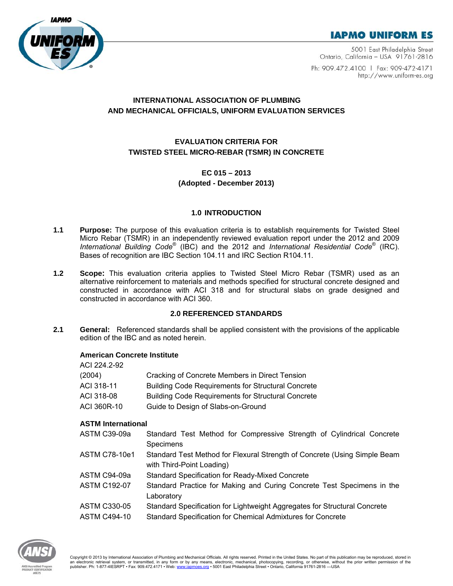



5001 East Philadelphia Street Ontario, California - USA 91761-2816

Ph: 909.472.4100 | Fax: 909-472-4171 http://www.uniform-es.org

# **INTERNATIONAL ASSOCIATION OF PLUMBING AND MECHANICAL OFFICIALS, UNIFORM EVALUATION SERVICES**

# **EVALUATION CRITERIA FOR TWISTED STEEL MICRO-REBAR (TSMR) IN CONCRETE**

# **EC 015 – 2013**

# **(Adopted - December 2013)**

# **1.0 INTRODUCTION**

- **1.1 Purpose:** The purpose of this evaluation criteria is to establish requirements for Twisted Steel Micro Rebar (TSMR) in an independently reviewed evaluation report under the 2012 and 2009 *International Building Code*® (IBC) and the 2012 and *International Residential Code*® (IRC). Bases of recognition are IBC Section 104.11 and IRC Section R104.11.
- **1.2 Scope:** This evaluation criteria applies to Twisted Steel Micro Rebar (TSMR) used as an alternative reinforcement to materials and methods specified for structural concrete designed and constructed in accordance with ACI 318 and for structural slabs on grade designed and constructed in accordance with ACI 360.

# **2.0 REFERENCED STANDARDS**

**2.1 General:** Referenced standards shall be applied consistent with the provisions of the applicable edition of the IBC and as noted herein.

# **American Concrete Institute**

| ACI 224.2-92 |                                                           |
|--------------|-----------------------------------------------------------|
| (2004)       | Cracking of Concrete Members in Direct Tension            |
| ACI 318-11   | <b>Building Code Requirements for Structural Concrete</b> |
| ACI 318-08   | <b>Building Code Requirements for Structural Concrete</b> |
| ACI 360R-10  | Guide to Design of Slabs-on-Ground                        |
|              |                                                           |

# **ASTM International**

| ASTM C39-09a        | Standard Test Method for Compressive Strength of Cylindrical Concrete                                  |
|---------------------|--------------------------------------------------------------------------------------------------------|
|                     | Specimens                                                                                              |
| ASTM C78-10e1       | Standard Test Method for Flexural Strength of Concrete (Using Simple Beam<br>with Third-Point Loading) |
| ASTM C94-09a        | <b>Standard Specification for Ready-Mixed Concrete</b>                                                 |
| <b>ASTM C192-07</b> | Standard Practice for Making and Curing Concrete Test Specimens in the<br>Laboratory                   |
| ASTM C330-05        | Standard Specification for Lightweight Aggregates for Structural Concrete                              |
| ASTM C494-10        | Standard Specification for Chemical Admixtures for Concrete                                            |

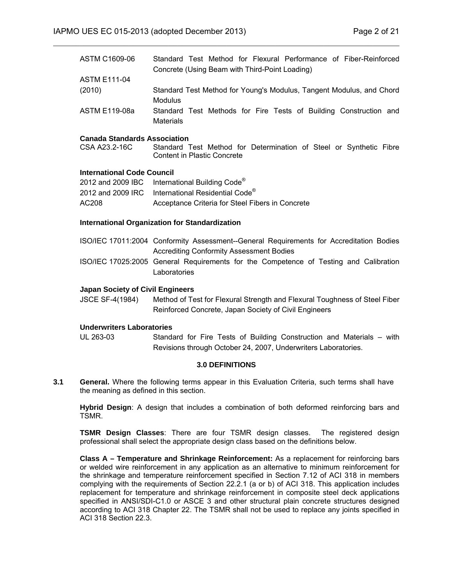| ASTM C1609-06       | Standard Test Method for Flexural Performance of Fiber-Reinforced    |
|---------------------|----------------------------------------------------------------------|
|                     | Concrete (Using Beam with Third-Point Loading)                       |
| <b>ASTM E111-04</b> |                                                                      |
| (2010)              | Standard Test Method for Young's Modulus, Tangent Modulus, and Chord |
|                     | Modulus                                                              |
| ASTM E119-08a       | Standard Test Methods for Fire Tests of Building Construction and    |
|                     | <b>Materials</b>                                                     |

 $\mathcal{L}_\mathcal{L} = \mathcal{L}_\mathcal{L} = \mathcal{L}_\mathcal{L} = \mathcal{L}_\mathcal{L} = \mathcal{L}_\mathcal{L} = \mathcal{L}_\mathcal{L} = \mathcal{L}_\mathcal{L} = \mathcal{L}_\mathcal{L} = \mathcal{L}_\mathcal{L} = \mathcal{L}_\mathcal{L} = \mathcal{L}_\mathcal{L} = \mathcal{L}_\mathcal{L} = \mathcal{L}_\mathcal{L} = \mathcal{L}_\mathcal{L} = \mathcal{L}_\mathcal{L} = \mathcal{L}_\mathcal{L} = \mathcal{L}_\mathcal{L}$ 

#### **Canada Standards Association**

CSA A23.2-16C Standard Test Method for Determination of Steel or Synthetic Fibre Content in Plastic Concrete

#### **International Code Council**

|       | 2012 and 2009 IBC International Building Code <sup>®</sup>    |
|-------|---------------------------------------------------------------|
|       | 2012 and 2009 IRC International Residential Code <sup>®</sup> |
| AC208 | Acceptance Criteria for Steel Fibers in Concrete              |

#### **International Organization for Standardization**

- ISO/IEC 17011:2004 Conformity Assessment--General Requirements for Accreditation Bodies Accrediting Conformity Assessment Bodies
- ISO/IEC 17025:2005 General Requirements for the Competence of Testing and Calibration **Laboratories**

#### **Japan Society of Civil Engineers**

JSCE SF-4(1984) Method of Test for Flexural Strength and Flexural Toughness of Steel Fiber Reinforced Concrete, Japan Society of Civil Engineers

#### **Underwriters Laboratories**

UL 263-03 Standard for Fire Tests of Building Construction and Materials – with Revisions through October 24, 2007, Underwriters Laboratories.

#### **3.0 DEFINITIONS**

**3.1 General.** Where the following terms appear in this Evaluation Criteria, such terms shall have the meaning as defined in this section.

**Hybrid Design**: A design that includes a combination of both deformed reinforcing bars and TSMR.

**TSMR Design Classes**: There are four TSMR design classes. The registered design professional shall select the appropriate design class based on the definitions below.

**Class A – Temperature and Shrinkage Reinforcement:** As a replacement for reinforcing bars or welded wire reinforcement in any application as an alternative to minimum reinforcement for the shrinkage and temperature reinforcement specified in Section 7.12 of ACI 318 in members complying with the requirements of Section 22.2.1 (a or b) of ACI 318. This application includes replacement for temperature and shrinkage reinforcement in composite steel deck applications specified in ANSI/SDI-C1.0 or ASCE 3 and other structural plain concrete structures designed according to ACI 318 Chapter 22. The TSMR shall not be used to replace any joints specified in ACI 318 Section 22.3.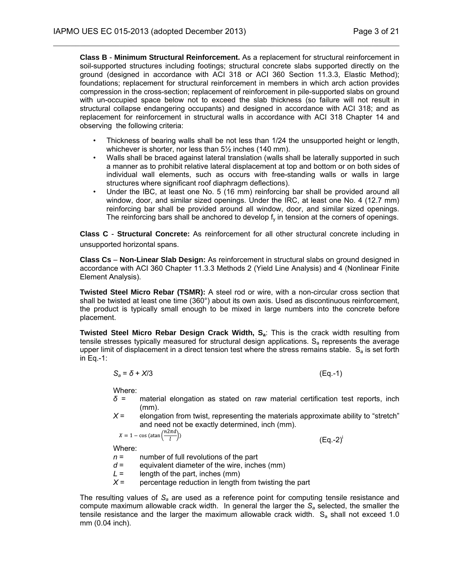**Class B** - **Minimum Structural Reinforcement.** As a replacement for structural reinforcement in soil-supported structures including footings; structural concrete slabs supported directly on the ground (designed in accordance with ACI 318 or ACI 360 Section 11.3.3, Elastic Method); foundations; replacement for structural reinforcement in members in which arch action provides compression in the cross-section; replacement of reinforcement in pile-supported slabs on ground with un-occupied space below not to exceed the slab thickness (so failure will not result in structural collapse endangering occupants) and designed in accordance with ACI 318; and as replacement for reinforcement in structural walls in accordance with ACI 318 Chapter 14 and observing the following criteria:

 $\mathcal{L}_\mathcal{L} = \mathcal{L}_\mathcal{L} = \mathcal{L}_\mathcal{L} = \mathcal{L}_\mathcal{L} = \mathcal{L}_\mathcal{L} = \mathcal{L}_\mathcal{L} = \mathcal{L}_\mathcal{L} = \mathcal{L}_\mathcal{L} = \mathcal{L}_\mathcal{L} = \mathcal{L}_\mathcal{L} = \mathcal{L}_\mathcal{L} = \mathcal{L}_\mathcal{L} = \mathcal{L}_\mathcal{L} = \mathcal{L}_\mathcal{L} = \mathcal{L}_\mathcal{L} = \mathcal{L}_\mathcal{L} = \mathcal{L}_\mathcal{L}$ 

- Thickness of bearing walls shall be not less than 1/24 the unsupported height or length, whichever is shorter, nor less than 5½ inches (140 mm).
- Walls shall be braced against lateral translation (walls shall be laterally supported in such a manner as to prohibit relative lateral displacement at top and bottom or on both sides of individual wall elements, such as occurs with free-standing walls or walls in large structures where significant roof diaphragm deflections).
- Under the IBC, at least one No. 5 (16 mm) reinforcing bar shall be provided around all window, door, and similar sized openings. Under the IRC, at least one No. 4 (12.7 mm) reinforcing bar shall be provided around all window, door, and similar sized openings. The reinforcing bars shall be anchored to develop  $f<sub>v</sub>$  in tension at the corners of openings.

**Class C** - **Structural Concrete:** As reinforcement for all other structural concrete including in unsupported horizontal spans.

**Class Cs** – **Non-Linear Slab Design:** As reinforcement in structural slabs on ground designed in accordance with ACI 360 Chapter 11.3.3 Methods 2 (Yield Line Analysis) and 4 (Nonlinear Finite Element Analysis).

**Twisted Steel Micro Rebar (TSMR):** A steel rod or wire, with a non-circular cross section that shall be twisted at least one time (360°) about its own axis. Used as discontinuous reinforcement, the product is typically small enough to be mixed in large numbers into the concrete before placement.

**Twisted Steel Micro Rebar Design Crack Width, S<sub>a</sub>: This is the crack width resulting from** tensile stresses typically measured for structural design applications.  $S_a$  represents the average upper limit of displacement in a direct tension test where the stress remains stable.  $S_a$  is set forth in Eq.-1:

$$
S_a = \delta + X/3 \tag{Eq.-1}
$$

Where:

- *δ* = material elongation as stated on raw material certification test reports, inch (mm).
- $X =$  elongation from twist, representing the materials approximate ability to "stretch" and need not be exactly determined, inch (mm).

$$
X = 1 - \cos\left(\arctan\left(\frac{n2\pi a}{l}\right)\right)
$$

 $(Eq.-2)^{i}$ 

Where:

- *n* = number of full revolutions of the part
- $d =$  equivalent diameter of the wire, inches (mm)
- *L* = length of the part, inches (mm)
- $X =$  percentage reduction in length from twisting the part

The resulting values of *Sa* are used as a reference point for computing tensile resistance and compute maximum allowable crack width. In general the larger the *Sa* selected, the smaller the tensile resistance and the larger the maximum allowable crack width.  $S_a$  shall not exceed 1.0 mm (0.04 inch).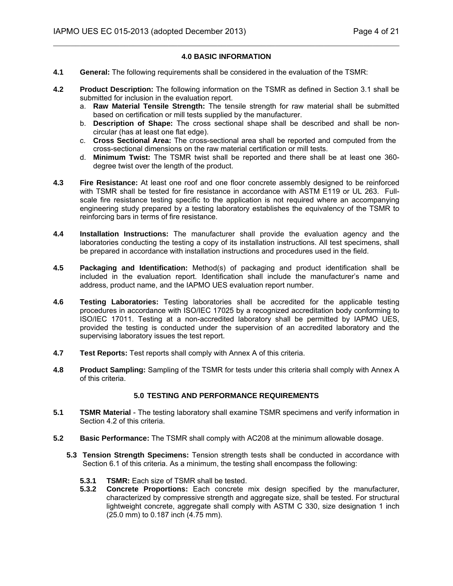### **4.0 BASIC INFORMATION**

 $\mathcal{L}_\mathcal{L} = \mathcal{L}_\mathcal{L} = \mathcal{L}_\mathcal{L} = \mathcal{L}_\mathcal{L} = \mathcal{L}_\mathcal{L} = \mathcal{L}_\mathcal{L} = \mathcal{L}_\mathcal{L} = \mathcal{L}_\mathcal{L} = \mathcal{L}_\mathcal{L} = \mathcal{L}_\mathcal{L} = \mathcal{L}_\mathcal{L} = \mathcal{L}_\mathcal{L} = \mathcal{L}_\mathcal{L} = \mathcal{L}_\mathcal{L} = \mathcal{L}_\mathcal{L} = \mathcal{L}_\mathcal{L} = \mathcal{L}_\mathcal{L}$ 

- **4.1 General:** The following requirements shall be considered in the evaluation of the TSMR:
- **4.2 Product Description:** The following information on the TSMR as defined in Section 3.1 shall be submitted for inclusion in the evaluation report.
	- a. **Raw Material Tensile Strength:** The tensile strength for raw material shall be submitted based on certification or mill tests supplied by the manufacturer.
	- b. **Description of Shape:** The cross sectional shape shall be described and shall be noncircular (has at least one flat edge).
	- c. **Cross Sectional Area:** The cross-sectional area shall be reported and computed from the cross-sectional dimensions on the raw material certification or mill tests.
	- d. **Minimum Twist:** The TSMR twist shall be reported and there shall be at least one 360 degree twist over the length of the product.
- **4.3 Fire Resistance:** At least one roof and one floor concrete assembly designed to be reinforced with TSMR shall be tested for fire resistance in accordance with ASTM E119 or UL 263. Fullscale fire resistance testing specific to the application is not required where an accompanying engineering study prepared by a testing laboratory establishes the equivalency of the TSMR to reinforcing bars in terms of fire resistance.
- **4.4 Installation Instructions:** The manufacturer shall provide the evaluation agency and the laboratories conducting the testing a copy of its installation instructions. All test specimens, shall be prepared in accordance with installation instructions and procedures used in the field.
- **4.5 Packaging and Identification:** Method(s) of packaging and product identification shall be included in the evaluation report. Identification shall include the manufacturer's name and address, product name, and the IAPMO UES evaluation report number.
- **4.6 Testing Laboratories:** Testing laboratories shall be accredited for the applicable testing procedures in accordance with ISO/IEC 17025 by a recognized accreditation body conforming to ISO/IEC 17011. Testing at a non-accredited laboratory shall be permitted by IAPMO UES, provided the testing is conducted under the supervision of an accredited laboratory and the supervising laboratory issues the test report.
- **4.7 Test Reports:** Test reports shall comply with Annex A of this criteria.
- **4.8 Product Sampling:** Sampling of the TSMR for tests under this criteria shall comply with Annex A of this criteria.

# **5.0 TESTING AND PERFORMANCE REQUIREMENTS**

- **5.1 TSMR Material** The testing laboratory shall examine TSMR specimens and verify information in Section 4.2 of this criteria.
- **5.2 Basic Performance:** The TSMR shall comply with AC208 at the minimum allowable dosage.
	- **5.3 Tension Strength Specimens:** Tension strength tests shall be conducted in accordance with Section 6.1 of this criteria. As a minimum, the testing shall encompass the following:
		- **5.3.1 TSMR:** Each size of TSMR shall be tested.
		- **5.3.2 Concrete Proportions:** Each concrete mix design specified by the manufacturer, characterized by compressive strength and aggregate size, shall be tested. For structural lightweight concrete, aggregate shall comply with ASTM C 330, size designation 1 inch (25.0 mm) to 0.187 inch (4.75 mm).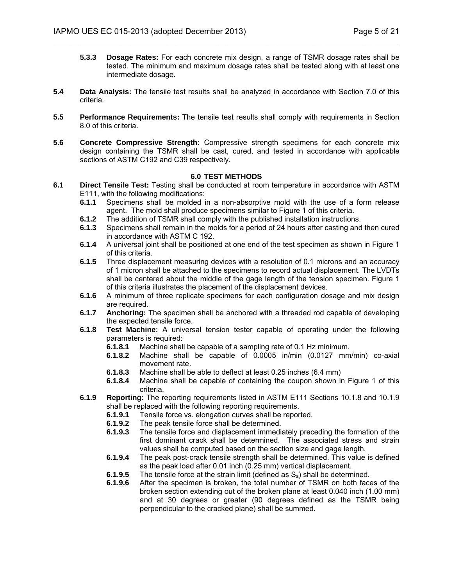- $\mathcal{L}_\mathcal{L} = \mathcal{L}_\mathcal{L} = \mathcal{L}_\mathcal{L} = \mathcal{L}_\mathcal{L} = \mathcal{L}_\mathcal{L} = \mathcal{L}_\mathcal{L} = \mathcal{L}_\mathcal{L} = \mathcal{L}_\mathcal{L} = \mathcal{L}_\mathcal{L} = \mathcal{L}_\mathcal{L} = \mathcal{L}_\mathcal{L} = \mathcal{L}_\mathcal{L} = \mathcal{L}_\mathcal{L} = \mathcal{L}_\mathcal{L} = \mathcal{L}_\mathcal{L} = \mathcal{L}_\mathcal{L} = \mathcal{L}_\mathcal{L}$ 
	- **5.3.3 Dosage Rates:** For each concrete mix design, a range of TSMR dosage rates shall be tested. The minimum and maximum dosage rates shall be tested along with at least one intermediate dosage.
- **5.4 Data Analysis:** The tensile test results shall be analyzed in accordance with Section 7.0 of this criteria.
- **5.5 Performance Requirements:** The tensile test results shall comply with requirements in Section 8.0 of this criteria.
- **5.6 Concrete Compressive Strength:** Compressive strength specimens for each concrete mix design containing the TSMR shall be cast, cured, and tested in accordance with applicable sections of ASTM C192 and C39 respectively.

#### **6.0 TEST METHODS**

- **6.1 Direct Tensile Test:** Testing shall be conducted at room temperature in accordance with ASTM E111, with the following modifications:
	- **6.1.1** Specimens shall be molded in a non-absorptive mold with the use of a form release agent. The mold shall produce specimens similar to Figure 1 of this criteria.
	- **6.1.2** The addition of TSMR shall comply with the published installation instructions.<br>**6.1.3** Specimens shall remain in the molds for a period of 24 hours after casting and
	- **6.1.3** Specimens shall remain in the molds for a period of 24 hours after casting and then cured in accordance with ASTM C 192.
	- **6.1.4** A universal joint shall be positioned at one end of the test specimen as shown in Figure 1 of this criteria.
	- **6.1.5** Three displacement measuring devices with a resolution of 0.1 microns and an accuracy of 1 micron shall be attached to the specimens to record actual displacement. The LVDTs shall be centered about the middle of the gage length of the tension specimen. Figure 1 of this criteria illustrates the placement of the displacement devices.
	- **6.1.6** A minimum of three replicate specimens for each configuration dosage and mix design are required.
	- **6.1.7 Anchoring:** The specimen shall be anchored with a threaded rod capable of developing the expected tensile force.
	- **6.1.8 Test Machine:** A universal tension tester capable of operating under the following parameters is required:
		- **6.1.8.1** Machine shall be capable of a sampling rate of 0.1 Hz minimum.
		- **6.1.8.2** Machine shall be capable of 0.0005 in/min (0.0127 mm/min) co-axial movement rate.
		- **6.1.8.3** Machine shall be able to deflect at least 0.25 inches (6.4 mm)
		- **6.1.8.4** Machine shall be capable of containing the coupon shown in Figure 1 of this criteria.
	- **6.1.9 Reporting:** The reporting requirements listed in ASTM E111 Sections 10.1.8 and 10.1.9 shall be replaced with the following reporting requirements.
		- **6.1.9.1** Tensile force vs. elongation curves shall be reported.
		- **6.1.9.2** The peak tensile force shall be determined.
		- **6.1.9.3** The tensile force and displacement immediately preceding the formation of the first dominant crack shall be determined. The associated stress and strain values shall be computed based on the section size and gage length.
		- **6.1.9.4** The peak post-crack tensile strength shall be determined. This value is defined as the peak load after 0.01 inch (0.25 mm) vertical displacement.
		- **6.1.9.5** The tensile force at the strain limit (defined as S<sub>a</sub>) shall be determined.<br>**6.1.9.6** After the specimen is broken, the total number of TSMR on both face
		- **6.1.9.6** After the specimen is broken, the total number of TSMR on both faces of the broken section extending out of the broken plane at least 0.040 inch (1.00 mm) and at 30 degrees or greater (90 degrees defined as the TSMR being perpendicular to the cracked plane) shall be summed.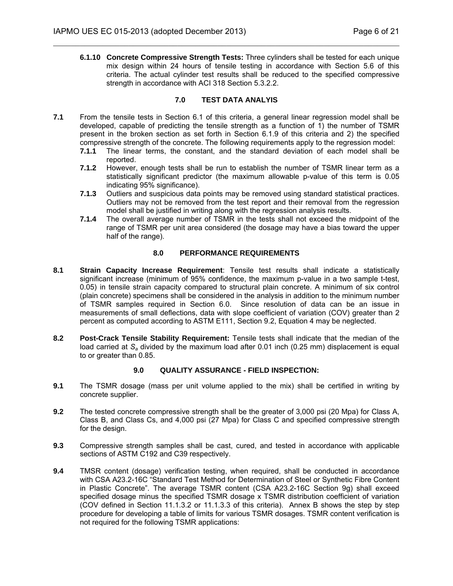**6.1.10 Concrete Compressive Strength Tests:** Three cylinders shall be tested for each unique mix design within 24 hours of tensile testing in accordance with Section 5.6 of this criteria. The actual cylinder test results shall be reduced to the specified compressive strength in accordance with ACI 318 Section 5.3.2.2.

## **7.0 TEST DATA ANALYIS**

 $\mathcal{L}_\mathcal{L} = \mathcal{L}_\mathcal{L} = \mathcal{L}_\mathcal{L} = \mathcal{L}_\mathcal{L} = \mathcal{L}_\mathcal{L} = \mathcal{L}_\mathcal{L} = \mathcal{L}_\mathcal{L} = \mathcal{L}_\mathcal{L} = \mathcal{L}_\mathcal{L} = \mathcal{L}_\mathcal{L} = \mathcal{L}_\mathcal{L} = \mathcal{L}_\mathcal{L} = \mathcal{L}_\mathcal{L} = \mathcal{L}_\mathcal{L} = \mathcal{L}_\mathcal{L} = \mathcal{L}_\mathcal{L} = \mathcal{L}_\mathcal{L}$ 

- **7.1** From the tensile tests in Section 6.1 of this criteria, a general linear regression model shall be developed, capable of predicting the tensile strength as a function of 1) the number of TSMR present in the broken section as set forth in Section 6.1.9 of this criteria and 2) the specified compressive strength of the concrete. The following requirements apply to the regression model:
	- **7.1.1** The linear terms, the constant, and the standard deviation of each model shall be reported.
	- **7.1.2** However, enough tests shall be run to establish the number of TSMR linear term as a statistically significant predictor (the maximum allowable p-value of this term is 0.05 indicating 95% significance).
	- **7.1.3** Outliers and suspicious data points may be removed using standard statistical practices. Outliers may not be removed from the test report and their removal from the regression model shall be justified in writing along with the regression analysis results.
	- **7.1.4** The overall average number of TSMR in the tests shall not exceed the midpoint of the range of TSMR per unit area considered (the dosage may have a bias toward the upper half of the range).

## **8.0 PERFORMANCE REQUIREMENTS**

- **8.1 Strain Capacity Increase Requirement**: Tensile test results shall indicate a statistically significant increase (minimum of 95% confidence, the maximum p-value in a two sample t-test, 0.05) in tensile strain capacity compared to structural plain concrete. A minimum of six control (plain concrete) specimens shall be considered in the analysis in addition to the minimum number of TSMR samples required in Section 6.0. Since resolution of data can be an issue in measurements of small deflections, data with slope coefficient of variation (COV) greater than 2 percent as computed according to ASTM E111, Section 9.2, Equation 4 may be neglected.
- **8.2 Post-Crack Tensile Stability Requirement:** Tensile tests shall indicate that the median of the load carried at *Sa* divided by the maximum load after 0.01 inch (0.25 mm) displacement is equal to or greater than 0.85.

# **9.0 QUALITY ASSURANCE - FIELD INSPECTION:**

- **9.1** The TSMR dosage (mass per unit volume applied to the mix) shall be certified in writing by concrete supplier.
- **9.2** The tested concrete compressive strength shall be the greater of 3,000 psi (20 Mpa) for Class A, Class B, and Class Cs, and 4,000 psi (27 Mpa) for Class C and specified compressive strength for the design.
- **9.3** Compressive strength samples shall be cast, cured, and tested in accordance with applicable sections of ASTM C192 and C39 respectively.
- **9.4** TMSR content (dosage) verification testing, when required, shall be conducted in accordance with CSA A23.2-16C "Standard Test Method for Determination of Steel or Synthetic Fibre Content in Plastic Concrete". The average TSMR content (CSA A23.2-16C Section 9g) shall exceed specified dosage minus the specified TSMR dosage x TSMR distribution coefficient of variation (COV defined in Section 11.1.3.2 or 11.1.3.3 of this criteria). Annex B shows the step by step procedure for developing a table of limits for various TSMR dosages. TSMR content verification is not required for the following TSMR applications: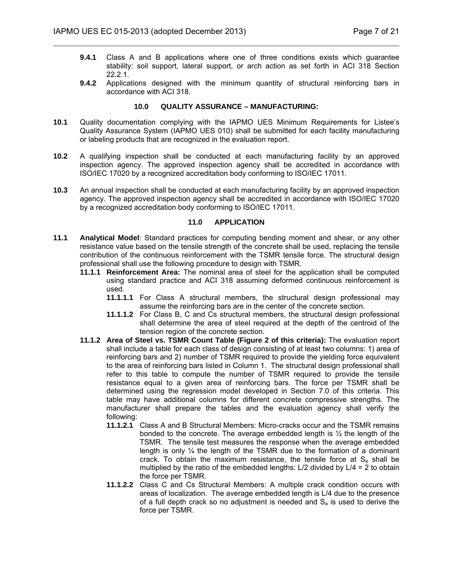- **9.4.1** Class A and B applications where one of three conditions exists which guarantee stability: soil support, lateral support, or arch action as set forth in ACI 318 Section 22.2.1.
- **9.4.2** Applications designed with the minimum quantity of structural reinforcing bars in accordance with ACI 318.

#### **10.0 QUALITY ASSURANCE – MANUFACTURING:**

 $\mathcal{L}_\mathcal{L} = \mathcal{L}_\mathcal{L} = \mathcal{L}_\mathcal{L} = \mathcal{L}_\mathcal{L} = \mathcal{L}_\mathcal{L} = \mathcal{L}_\mathcal{L} = \mathcal{L}_\mathcal{L} = \mathcal{L}_\mathcal{L} = \mathcal{L}_\mathcal{L} = \mathcal{L}_\mathcal{L} = \mathcal{L}_\mathcal{L} = \mathcal{L}_\mathcal{L} = \mathcal{L}_\mathcal{L} = \mathcal{L}_\mathcal{L} = \mathcal{L}_\mathcal{L} = \mathcal{L}_\mathcal{L} = \mathcal{L}_\mathcal{L}$ 

- **10.1** Quality documentation complying with the IAPMO UES Minimum Requirements for Listee's Quality Assurance System (IAPMO UES 010) shall be submitted for each facility manufacturing or labeling products that are recognized in the evaluation report.
- **10.2** A qualifying inspection shall be conducted at each manufacturing facility by an approved inspection agency. The approved inspection agency shall be accredited in accordance with ISO/IEC 17020 by a recognized accreditation body conforming to ISO/IEC 17011.
- **10.3** An annual inspection shall be conducted at each manufacturing facility by an approved inspection agency. The approved inspection agency shall be accredited in accordance with ISO/IEC 17020 by a recognized accreditation body conforming to ISO/IEC 17011.

#### **11.0 APPLICATION**

- **11.1 Analytical Model**: Standard practices for computing bending moment and shear, or any other resistance value based on the tensile strength of the concrete shall be used, replacing the tensile contribution of the continuous reinforcement with the TSMR tensile force. The structural design professional shall use the following procedure to design with TSMR.
	- **11.1.1 Reinforcement Area:** The nominal area of steel for the application shall be computed using standard practice and ACI 318 assuming deformed continuous reinforcement is used.
		- **11.1.1.1** For Class A structural members, the structural design professional may assume the reinforcing bars are in the center of the concrete section.
		- **11.1.1.2** For Class B, C and Cs structural members, the structural design professional shall determine the area of steel required at the depth of the centroid of the tension region of the concrete section.
	- **11.1.2 Area of Steel vs. TSMR Count Table (Figure 2 of this criteria):** The evaluation report shall include a table for each class of design consisting of at least two columns: 1) area of reinforcing bars and 2) number of TSMR required to provide the yielding force equivalent to the area of reinforcing bars listed in Column 1. The structural design professional shall refer to this table to compute the number of TSMR required to provide the tensile resistance equal to a given area of reinforcing bars. The force per TSMR shall be determined using the regression model developed in Section 7.0 of this criteria. This table may have additional columns for different concrete compressive strengths. The manufacturer shall prepare the tables and the evaluation agency shall verify the following:
		- **11.1.2.1** Class A and B Structural Members: Micro-cracks occur and the TSMR remains bonded to the concrete. The average embedded length is  $\frac{1}{2}$  the length of the TSMR. The tensile test measures the response when the average embedded length is only  $\frac{1}{4}$  the length of the TSMR due to the formation of a dominant crack. To obtain the maximum resistance, the tensile force at  $S<sub>a</sub>$  shall be multiplied by the ratio of the embedded lengths:  $L/2$  divided by  $L/4 = 2$  to obtain the force per TSMR.
		- **11.1.2.2** Class C and Cs Structural Members: A multiple crack condition occurs with areas of localization. The average embedded length is L/4 due to the presence of a full depth crack so no adjustment is needed and  $S<sub>a</sub>$  is used to derive the force per TSMR.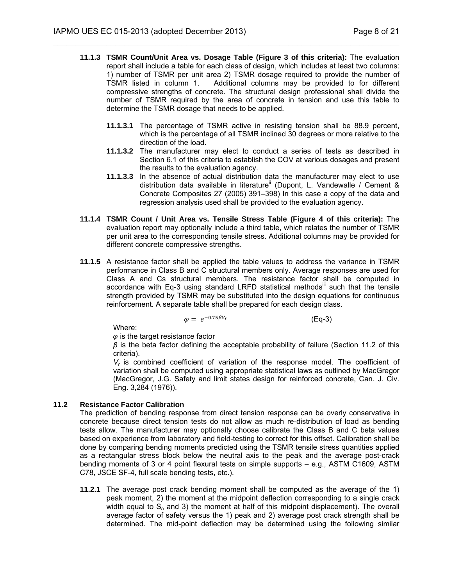**11.1.3 TSMR Count/Unit Area vs. Dosage Table (Figure 3 of this criteria):** The evaluation report shall include a table for each class of design, which includes at least two columns: 1) number of TSMR per unit area 2) TSMR dosage required to provide the number of TSMR listed in column 1. Additional columns may be provided to for different compressive strengths of concrete. The structural design professional shall divide the number of TSMR required by the area of concrete in tension and use this table to determine the TSMR dosage that needs to be applied.

 $\mathcal{L}_\mathcal{L} = \mathcal{L}_\mathcal{L} = \mathcal{L}_\mathcal{L} = \mathcal{L}_\mathcal{L} = \mathcal{L}_\mathcal{L} = \mathcal{L}_\mathcal{L} = \mathcal{L}_\mathcal{L} = \mathcal{L}_\mathcal{L} = \mathcal{L}_\mathcal{L} = \mathcal{L}_\mathcal{L} = \mathcal{L}_\mathcal{L} = \mathcal{L}_\mathcal{L} = \mathcal{L}_\mathcal{L} = \mathcal{L}_\mathcal{L} = \mathcal{L}_\mathcal{L} = \mathcal{L}_\mathcal{L} = \mathcal{L}_\mathcal{L}$ 

- **11.1.3.1** The percentage of TSMR active in resisting tension shall be 88.9 percent, which is the percentage of all TSMR inclined 30 degrees or more relative to the direction of the load.
- **11.1.3.2** The manufacturer may elect to conduct a series of tests as described in Section 6.1 of this criteria to establish the COV at various dosages and present the results to the evaluation agency.
- **11.1.3.3** In the absence of actual distribution data the manufacturer may elect to use distribution data available in literature<sup>ii</sup> (Dupont, L. Vandewalle / Cement & Concrete Composites 27 (2005) 391–398) In this case a copy of the data and regression analysis used shall be provided to the evaluation agency.
- **11.1.4 TSMR Count / Unit Area vs. Tensile Stress Table (Figure 4 of this criteria):** The evaluation report may optionally include a third table, which relates the number of TSMR per unit area to the corresponding tensile stress. Additional columns may be provided for different concrete compressive strengths.
- **11.1.5** A resistance factor shall be applied the table values to address the variance in TSMR performance in Class B and C structural members only. Average responses are used for Class A and Cs structural members. The resistance factor shall be computed in accordance with Eq-3 using standard LRFD statistical methods<sup>III</sup> such that the tensile strength provided by TSMR may be substituted into the design equations for continuous reinforcement. A separate table shall be prepared for each design class.

 $\varphi = e^{-0.75\beta V_r}$  (Eq-3)

Where:

 $\varphi$  is the target resistance factor

*β* is the beta factor defining the acceptable probability of failure (Section 11.2 of this criteria).

*Vr* is combined coefficient of variation of the response model. The coefficient of variation shall be computed using appropriate statistical laws as outlined by MacGregor (MacGregor, J.G. Safety and limit states design for reinforced concrete, Can. J. Civ. Eng. 3,284 (1976)).

# **11.2 Resistance Factor Calibration**

The prediction of bending response from direct tension response can be overly conservative in concrete because direct tension tests do not allow as much re-distribution of load as bending tests allow. The manufacturer may optionally choose calibrate the Class B and C beta values based on experience from laboratory and field-testing to correct for this offset. Calibration shall be done by comparing bending moments predicted using the TSMR tensile stress quantities applied as a rectangular stress block below the neutral axis to the peak and the average post-crack bending moments of 3 or 4 point flexural tests on simple supports – e.g., ASTM C1609, ASTM C78, JSCE SF-4, full scale bending tests, etc.).

**11.2.1** The average post crack bending moment shall be computed as the average of the 1) peak moment, 2) the moment at the midpoint deflection corresponding to a single crack width equal to  $S_a$  and 3) the moment at half of this midpoint displacement). The overall average factor of safety versus the 1) peak and 2) average post crack strength shall be determined. The mid-point deflection may be determined using the following similar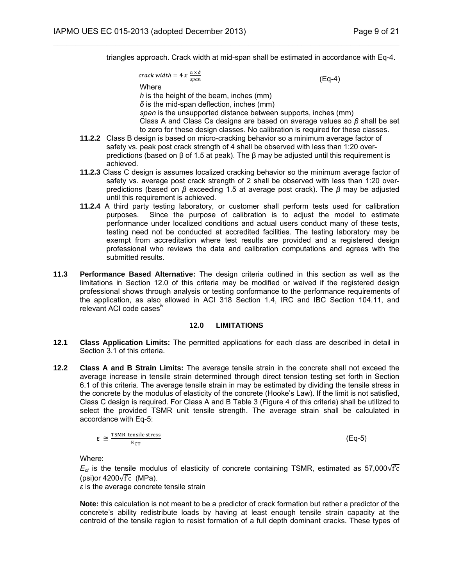triangles approach. Crack width at mid-span shall be estimated in accordance with Eq-4.

$$
track\ width = 4\ x\ \frac{h\times}{2}
$$

$$
\frac{h \times \delta}{span} \tag{Eq-4}
$$

Where

*h* is the height of the beam, inches (mm) *δ* is the mid-span deflection, inches (mm)

 $\mathcal{L}_\mathcal{L} = \mathcal{L}_\mathcal{L} = \mathcal{L}_\mathcal{L} = \mathcal{L}_\mathcal{L} = \mathcal{L}_\mathcal{L} = \mathcal{L}_\mathcal{L} = \mathcal{L}_\mathcal{L} = \mathcal{L}_\mathcal{L} = \mathcal{L}_\mathcal{L} = \mathcal{L}_\mathcal{L} = \mathcal{L}_\mathcal{L} = \mathcal{L}_\mathcal{L} = \mathcal{L}_\mathcal{L} = \mathcal{L}_\mathcal{L} = \mathcal{L}_\mathcal{L} = \mathcal{L}_\mathcal{L} = \mathcal{L}_\mathcal{L}$ 

*span* is the unsupported distance between supports, inches (mm) Class A and Class Cs designs are based on average values so *β* shall be set to zero for these design classes. No calibration is required for these classes.

- **11.2.2** Class B design is based on micro-cracking behavior so a minimum average factor of safety vs. peak post crack strength of 4 shall be observed with less than 1:20 overpredictions (based on β of 1.5 at peak). The β may be adjusted until this requirement is achieved.
- **11.2.3** Class C design is assumes localized cracking behavior so the minimum average factor of safety vs. average post crack strength of 2 shall be observed with less than 1:20 overpredictions (based on *β* exceeding 1.5 at average post crack). The *β* may be adjusted until this requirement is achieved.
- **11.2.4** A third party testing laboratory, or customer shall perform tests used for calibration purposes. Since the purpose of calibration is to adjust the model to estimate performance under localized conditions and actual users conduct many of these tests, testing need not be conducted at accredited facilities. The testing laboratory may be exempt from accreditation where test results are provided and a registered design professional who reviews the data and calibration computations and agrees with the submitted results.
- **11.3 Performance Based Alternative:** The design criteria outlined in this section as well as the limitations in Section 12.0 of this criteria may be modified or waived if the registered design professional shows through analysis or testing conformance to the performance requirements of the application, as also allowed in ACI 318 Section 1.4, IRC and IBC Section 104.11, and relevant ACI code casesiv

# **12.0 LIMITATIONS**

- **12.1 Class Application Limits:** The permitted applications for each class are described in detail in Section 3.1 of this criteria.
- **12.2 Class A and B Strain Limits:** The average tensile strain in the concrete shall not exceed the average increase in tensile strain determined through direct tension testing set forth in Section 6.1 of this criteria. The average tensile strain in may be estimated by dividing the tensile stress in the concrete by the modulus of elasticity of the concrete (Hooke's Law). If the limit is not satisfied, Class C design is required. For Class A and B Table 3 (Figure 4 of this criteria) shall be utilized to select the provided TSMR unit tensile strength. The average strain shall be calculated in accordance with Eq-5:

$$
\epsilon \cong \frac{\text{TSMR tensile stress}}{E_{CT}} \tag{Eq-5}
$$

Where:

 $E_{ct}$  is the tensile modulus of elasticity of concrete containing TSMR, estimated as 57,000 $\sqrt{fc}$ (psi)or 4200 $\sqrt{f}$ c (MPa).

*ε* is the average concrete tensile strain

**Note:** this calculation is not meant to be a predictor of crack formation but rather a predictor of the concrete's ability redistribute loads by having at least enough tensile strain capacity at the centroid of the tensile region to resist formation of a full depth dominant cracks. These types of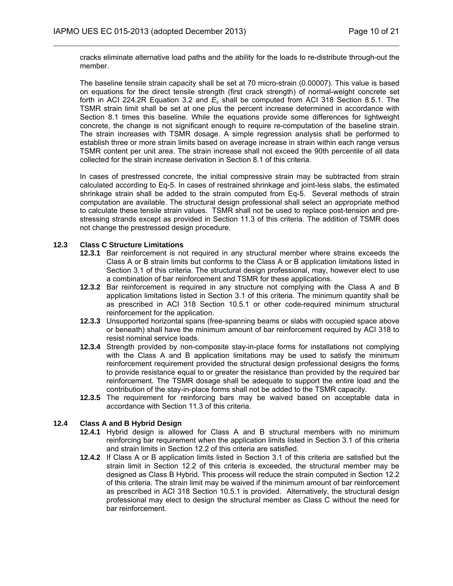cracks eliminate alternative load paths and the ability for the loads to re-distribute through-out the member.

 $\mathcal{L}_\mathcal{L} = \mathcal{L}_\mathcal{L} = \mathcal{L}_\mathcal{L} = \mathcal{L}_\mathcal{L} = \mathcal{L}_\mathcal{L} = \mathcal{L}_\mathcal{L} = \mathcal{L}_\mathcal{L} = \mathcal{L}_\mathcal{L} = \mathcal{L}_\mathcal{L} = \mathcal{L}_\mathcal{L} = \mathcal{L}_\mathcal{L} = \mathcal{L}_\mathcal{L} = \mathcal{L}_\mathcal{L} = \mathcal{L}_\mathcal{L} = \mathcal{L}_\mathcal{L} = \mathcal{L}_\mathcal{L} = \mathcal{L}_\mathcal{L}$ 

The baseline tensile strain capacity shall be set at 70 micro-strain (0.00007). This value is based on equations for the direct tensile strength (first crack strength) of normal-weight concrete set forth in ACI 224.2R Equation 3.2 and *Ec* shall be computed from ACI 318 Section 8.5.1. The TSMR strain limit shall be set at one plus the percent increase determined in accordance with Section 8.1 times this baseline. While the equations provide some differences for lightweight concrete, the change is not significant enough to require re-computation of the baseline strain. The strain increases with TSMR dosage. A simple regression analysis shall be performed to establish three or more strain limits based on average increase in strain within each range versus TSMR content per unit area. The strain increase shall not exceed the 90th percentile of all data collected for the strain increase derivation in Section 8.1 of this criteria.

In cases of prestressed concrete, the initial compressive strain may be subtracted from strain calculated according to Eq-5. In cases of restrained shrinkage and joint-less slabs, the estimated shrinkage strain shall be added to the strain computed from Eq-5. Several methods of strain computation are available. The structural design professional shall select an appropriate method to calculate these tensile strain values. TSMR shall not be used to replace post-tension and prestressing strands except as provided in Section 11.3 of this criteria. The addition of TSMR does not change the prestressed design procedure.

## **12.3 Class C Structure Limitations**

- **12.3.1** Bar reinforcement is not required in any structural member where strains exceeds the Class A or B strain limits but conforms to the Class A or B application limitations listed in Section 3.1 of this criteria. The structural design professional, may, however elect to use a combination of bar reinforcement and TSMR for these applications.
- **12.3.2** Bar reinforcement is required in any structure not complying with the Class A and B application limitations listed in Section 3.1 of this criteria. The minimum quantity shall be as prescribed in ACI 318 Section 10.5.1 or other code-required minimum structural reinforcement for the application.
- **12.3.3** Unsupported horizontal spans (free-spanning beams or slabs with occupied space above or beneath) shall have the minimum amount of bar reinforcement required by ACI 318 to resist nominal service loads.
- **12.3.4** Strength provided by non-composite stay-in-place forms for installations not complying with the Class A and B application limitations may be used to satisfy the minimum reinforcement requirement provided the structural design professional designs the forms to provide resistance equal to or greater the resistance than provided by the required bar reinforcement. The TSMR dosage shall be adequate to support the entire load and the contribution of the stay-in-place forms shall not be added to the TSMR capacity.
- **12.3.5** The requirement for reinforcing bars may be waived based on acceptable data in accordance with Section 11.3 of this criteria.

# **12.4 Class A and B Hybrid Design**

- **12.4.1** Hybrid design is allowed for Class A and B structural members with no minimum reinforcing bar requirement when the application limits listed in Section 3.1 of this criteria and strain limits in Section 12.2 of this criteria are satisfied.
- **12.4.2** If Class A or B application limits listed in Section 3.1 of this criteria are satisfied but the strain limit in Section 12.2 of this criteria is exceeded, the structural member may be designed as Class B Hybrid. This process will reduce the strain computed in Section 12.2 of this criteria. The strain limit may be waived if the minimum amount of bar reinforcement as prescribed in ACI 318 Section 10.5.1 is provided. Alternatively, the structural design professional may elect to design the structural member as Class C without the need for bar reinforcement.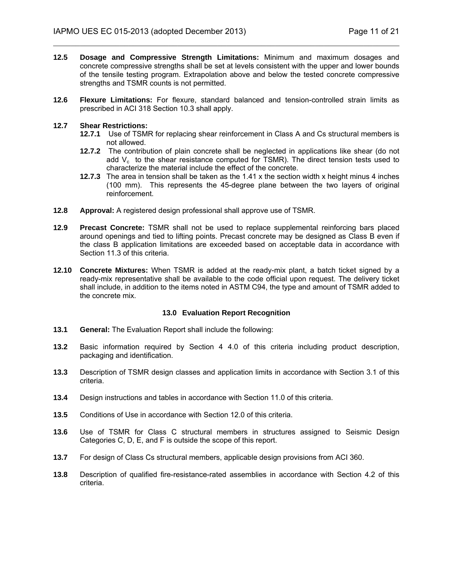**12.5 Dosage and Compressive Strength Limitations:** Minimum and maximum dosages and concrete compressive strengths shall be set at levels consistent with the upper and lower bounds of the tensile testing program. Extrapolation above and below the tested concrete compressive strengths and TSMR counts is not permitted.

 $\mathcal{L}_\mathcal{L} = \mathcal{L}_\mathcal{L} = \mathcal{L}_\mathcal{L} = \mathcal{L}_\mathcal{L} = \mathcal{L}_\mathcal{L} = \mathcal{L}_\mathcal{L} = \mathcal{L}_\mathcal{L} = \mathcal{L}_\mathcal{L} = \mathcal{L}_\mathcal{L} = \mathcal{L}_\mathcal{L} = \mathcal{L}_\mathcal{L} = \mathcal{L}_\mathcal{L} = \mathcal{L}_\mathcal{L} = \mathcal{L}_\mathcal{L} = \mathcal{L}_\mathcal{L} = \mathcal{L}_\mathcal{L} = \mathcal{L}_\mathcal{L}$ 

**12.6 Flexure Limitations:** For flexure, standard balanced and tension-controlled strain limits as prescribed in ACI 318 Section 10.3 shall apply.

#### **12.7 Shear Restrictions:**

- **12.7.1** Use of TSMR for replacing shear reinforcement in Class A and Cs structural members is not allowed.
- **12.7.2** The contribution of plain concrete shall be neglected in applications like shear (do not add  $V_c$  to the shear resistance computed for TSMR). The direct tension tests used to characterize the material include the effect of the concrete.
- **12.7.3** The area in tension shall be taken as the 1.41 x the section width x height minus 4 inches (100 mm). This represents the 45-degree plane between the two layers of original reinforcement.
- **12.8 Approval:** A registered design professional shall approve use of TSMR.
- **12.9 Precast Concrete:** TSMR shall not be used to replace supplemental reinforcing bars placed around openings and tied to lifting points. Precast concrete may be designed as Class B even if the class B application limitations are exceeded based on acceptable data in accordance with Section 11.3 of this criteria.
- **12.10 Concrete Mixtures:** When TSMR is added at the ready-mix plant, a batch ticket signed by a ready-mix representative shall be available to the code official upon request. The delivery ticket shall include, in addition to the items noted in ASTM C94, the type and amount of TSMR added to the concrete mix.

#### **13.0 Evaluation Report Recognition**

- **13.1 General:** The Evaluation Report shall include the following:
- **13.2** Basic information required by Section 4 4.0 of this criteria including product description, packaging and identification.
- **13.3** Description of TSMR design classes and application limits in accordance with Section 3.1 of this criteria.
- **13.4** Design instructions and tables in accordance with Section 11.0 of this criteria.
- **13.5** Conditions of Use in accordance with Section 12.0 of this criteria.
- **13.6** Use of TSMR for Class C structural members in structures assigned to Seismic Design Categories C, D, E, and F is outside the scope of this report.
- **13.7** For design of Class Cs structural members, applicable design provisions from ACI 360.
- **13.8** Description of qualified fire-resistance-rated assemblies in accordance with Section 4.2 of this criteria.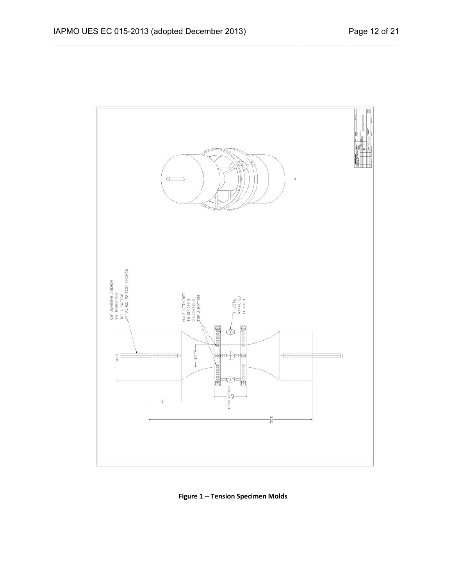

**Figure 1 ‐‐ Tension Specimen Molds**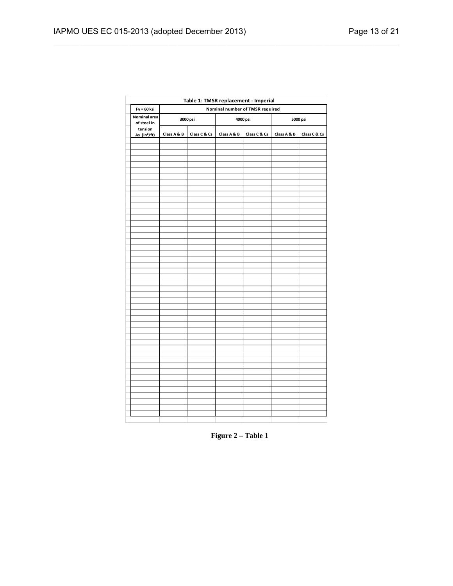| Table 1: TMSR replacement - Imperial |                                 |              |             |              |             |              |  |  |  |
|--------------------------------------|---------------------------------|--------------|-------------|--------------|-------------|--------------|--|--|--|
| Fy = 60 ksi                          | Nominal number of TMSR required |              |             |              |             |              |  |  |  |
| Nominal area<br>of steel in          |                                 | 3000 psi     |             | 4000 psi     | 5000 psi    |              |  |  |  |
| tension<br>As (in <sup>2</sup> /ft)  | Class A & B                     | Class C & Cs | Class A & B | Class C & Cs | Class A & B | Class C & Cs |  |  |  |
|                                      |                                 |              |             |              |             |              |  |  |  |
|                                      |                                 |              |             |              |             |              |  |  |  |
|                                      |                                 |              |             |              |             |              |  |  |  |
|                                      |                                 |              |             |              |             |              |  |  |  |
|                                      |                                 |              |             |              |             |              |  |  |  |
|                                      |                                 |              |             |              |             |              |  |  |  |
|                                      |                                 |              |             |              |             |              |  |  |  |
|                                      |                                 |              |             |              |             |              |  |  |  |
|                                      |                                 |              |             |              |             |              |  |  |  |
|                                      |                                 |              |             |              |             |              |  |  |  |
|                                      |                                 |              |             |              |             |              |  |  |  |
|                                      |                                 |              |             |              |             |              |  |  |  |
|                                      |                                 |              |             |              |             |              |  |  |  |
|                                      |                                 |              |             |              |             |              |  |  |  |
|                                      |                                 |              |             |              |             |              |  |  |  |
|                                      |                                 |              |             |              |             |              |  |  |  |
|                                      |                                 |              |             |              |             |              |  |  |  |
|                                      |                                 |              |             |              |             |              |  |  |  |
|                                      |                                 |              |             |              |             |              |  |  |  |
|                                      |                                 |              |             |              |             |              |  |  |  |
|                                      |                                 |              |             |              |             |              |  |  |  |
|                                      |                                 |              |             |              |             |              |  |  |  |
|                                      |                                 |              |             |              |             |              |  |  |  |
|                                      |                                 |              |             |              |             |              |  |  |  |
|                                      |                                 |              |             |              |             |              |  |  |  |
|                                      |                                 |              |             |              |             |              |  |  |  |
|                                      |                                 |              |             |              |             |              |  |  |  |
|                                      |                                 |              |             |              |             |              |  |  |  |
|                                      |                                 |              |             |              |             |              |  |  |  |
|                                      |                                 |              |             |              |             |              |  |  |  |
|                                      |                                 |              |             |              |             |              |  |  |  |
|                                      |                                 |              |             |              |             |              |  |  |  |
|                                      |                                 |              |             |              |             |              |  |  |  |
|                                      |                                 |              |             |              |             |              |  |  |  |
|                                      |                                 |              |             |              |             |              |  |  |  |
|                                      |                                 |              |             |              |             |              |  |  |  |
|                                      |                                 |              |             |              |             |              |  |  |  |
|                                      |                                 |              |             |              |             |              |  |  |  |
|                                      |                                 |              |             |              |             |              |  |  |  |

**Figure 2 – Table 1**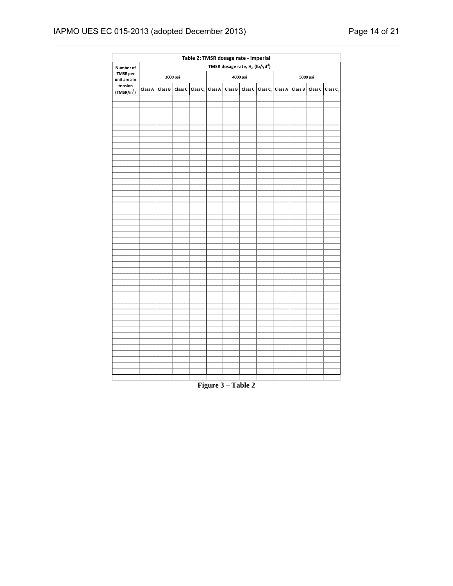# IAPMO UES EC 015-2013 (adopted December 2013) Page 14 of 21

| Table 2: TMSR dosage rate - Imperial |                                                        |         |          |                              |                    |         |  |                                      |  |         |  |                              |  |
|--------------------------------------|--------------------------------------------------------|---------|----------|------------------------------|--------------------|---------|--|--------------------------------------|--|---------|--|------------------------------|--|
| Number of                            | TMSR dosage rate, H <sub>d</sub> (lb/yd <sup>3</sup> ) |         |          |                              |                    |         |  |                                      |  |         |  |                              |  |
| <b>TMSR</b> per<br>unit area in      |                                                        |         | 3000 psi |                              | 4000 psi           |         |  | 5000 psi                             |  |         |  |                              |  |
| tension<br>(TMSR/in <sup>2</sup> )   | Class A                                                | Class B |          | Class C Class C <sub>s</sub> | Class A            | Class B |  | Class C Class C <sub>s</sub> Class A |  | Class B |  | Class C Class C <sub>s</sub> |  |
|                                      |                                                        |         |          |                              |                    |         |  |                                      |  |         |  |                              |  |
|                                      |                                                        |         |          |                              |                    |         |  |                                      |  |         |  |                              |  |
|                                      |                                                        |         |          |                              |                    |         |  |                                      |  |         |  |                              |  |
|                                      |                                                        |         |          |                              |                    |         |  |                                      |  |         |  |                              |  |
|                                      |                                                        |         |          |                              |                    |         |  |                                      |  |         |  |                              |  |
|                                      |                                                        |         |          |                              |                    |         |  |                                      |  |         |  |                              |  |
|                                      |                                                        |         |          |                              |                    |         |  |                                      |  |         |  |                              |  |
|                                      |                                                        |         |          |                              |                    |         |  |                                      |  |         |  |                              |  |
|                                      |                                                        |         |          |                              |                    |         |  |                                      |  |         |  |                              |  |
|                                      |                                                        |         |          |                              |                    |         |  |                                      |  |         |  |                              |  |
|                                      |                                                        |         |          |                              |                    |         |  |                                      |  |         |  |                              |  |
|                                      |                                                        |         |          |                              |                    |         |  |                                      |  |         |  |                              |  |
|                                      |                                                        |         |          |                              |                    |         |  |                                      |  |         |  |                              |  |
|                                      |                                                        |         |          |                              |                    |         |  |                                      |  |         |  |                              |  |
|                                      |                                                        |         |          |                              |                    |         |  |                                      |  |         |  |                              |  |
|                                      |                                                        |         |          |                              |                    |         |  |                                      |  |         |  |                              |  |
|                                      |                                                        |         |          |                              |                    |         |  |                                      |  |         |  |                              |  |
|                                      |                                                        |         |          |                              |                    |         |  |                                      |  |         |  |                              |  |
|                                      |                                                        |         |          |                              |                    |         |  |                                      |  |         |  |                              |  |
|                                      |                                                        |         |          |                              |                    |         |  |                                      |  |         |  |                              |  |
|                                      |                                                        |         |          |                              |                    |         |  |                                      |  |         |  |                              |  |
|                                      |                                                        |         |          |                              |                    |         |  |                                      |  |         |  |                              |  |
|                                      |                                                        |         |          |                              |                    |         |  |                                      |  |         |  |                              |  |
|                                      |                                                        |         |          |                              |                    |         |  |                                      |  |         |  |                              |  |
|                                      |                                                        |         |          |                              |                    |         |  |                                      |  |         |  |                              |  |
|                                      |                                                        |         |          |                              |                    |         |  |                                      |  |         |  |                              |  |
|                                      |                                                        |         |          |                              |                    |         |  |                                      |  |         |  |                              |  |
|                                      |                                                        |         |          |                              |                    |         |  |                                      |  |         |  |                              |  |
|                                      |                                                        |         |          |                              |                    |         |  |                                      |  |         |  |                              |  |
|                                      |                                                        |         |          |                              |                    |         |  |                                      |  |         |  |                              |  |
|                                      |                                                        |         |          |                              |                    |         |  |                                      |  |         |  |                              |  |
|                                      |                                                        |         |          |                              |                    |         |  |                                      |  |         |  |                              |  |
|                                      |                                                        |         |          |                              |                    |         |  |                                      |  |         |  |                              |  |
|                                      |                                                        |         |          |                              | Figure 3 - Table 2 |         |  |                                      |  |         |  |                              |  |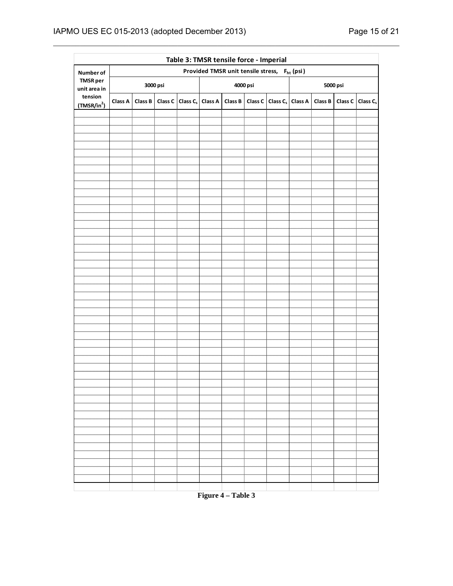|                                    | Table 3: TMSR tensile force - Imperial                   |         |  |                                      |  |          |  |                                                    |  |          |                              |  |  |
|------------------------------------|----------------------------------------------------------|---------|--|--------------------------------------|--|----------|--|----------------------------------------------------|--|----------|------------------------------|--|--|
| Number of                          | Provided TMSR unit tensile stress, F <sub>ht</sub> (psi) |         |  |                                      |  |          |  |                                                    |  |          |                              |  |  |
| <b>TMSR</b> per<br>unit area in    | 3000 psi                                                 |         |  |                                      |  | 4000 psi |  |                                                    |  | 5000 psi |                              |  |  |
| tension<br>(TMSR/in <sup>2</sup> ) | Class A                                                  | Class B |  | Class C Class C <sub>s</sub> Class A |  |          |  | Class B   Class C   Class C <sub>s</sub>   Class A |  | Class B  | Class C Class C <sub>s</sub> |  |  |
|                                    |                                                          |         |  |                                      |  |          |  |                                                    |  |          |                              |  |  |
|                                    |                                                          |         |  |                                      |  |          |  |                                                    |  |          |                              |  |  |
|                                    |                                                          |         |  |                                      |  |          |  |                                                    |  |          |                              |  |  |
|                                    |                                                          |         |  |                                      |  |          |  |                                                    |  |          |                              |  |  |
|                                    |                                                          |         |  |                                      |  |          |  |                                                    |  |          |                              |  |  |
|                                    |                                                          |         |  |                                      |  |          |  |                                                    |  |          |                              |  |  |
|                                    |                                                          |         |  |                                      |  |          |  |                                                    |  |          |                              |  |  |
|                                    |                                                          |         |  |                                      |  |          |  |                                                    |  |          |                              |  |  |
|                                    |                                                          |         |  |                                      |  |          |  |                                                    |  |          |                              |  |  |
|                                    |                                                          |         |  |                                      |  |          |  |                                                    |  |          |                              |  |  |
|                                    |                                                          |         |  |                                      |  |          |  |                                                    |  |          |                              |  |  |
|                                    |                                                          |         |  |                                      |  |          |  |                                                    |  |          |                              |  |  |
|                                    |                                                          |         |  |                                      |  |          |  |                                                    |  |          |                              |  |  |
|                                    |                                                          |         |  |                                      |  |          |  |                                                    |  |          |                              |  |  |
|                                    |                                                          |         |  |                                      |  |          |  |                                                    |  |          |                              |  |  |
|                                    |                                                          |         |  |                                      |  |          |  |                                                    |  |          |                              |  |  |
|                                    |                                                          |         |  |                                      |  |          |  |                                                    |  |          |                              |  |  |
|                                    |                                                          |         |  |                                      |  |          |  |                                                    |  |          |                              |  |  |
|                                    |                                                          |         |  |                                      |  |          |  |                                                    |  |          |                              |  |  |
|                                    |                                                          |         |  |                                      |  |          |  |                                                    |  |          |                              |  |  |
|                                    |                                                          |         |  |                                      |  |          |  |                                                    |  |          |                              |  |  |
|                                    |                                                          |         |  |                                      |  |          |  |                                                    |  |          |                              |  |  |
|                                    |                                                          |         |  |                                      |  |          |  |                                                    |  |          |                              |  |  |
|                                    |                                                          |         |  |                                      |  |          |  |                                                    |  |          |                              |  |  |
|                                    |                                                          |         |  |                                      |  |          |  |                                                    |  |          |                              |  |  |
|                                    |                                                          |         |  |                                      |  |          |  |                                                    |  |          |                              |  |  |
|                                    |                                                          |         |  |                                      |  |          |  |                                                    |  |          |                              |  |  |
|                                    |                                                          |         |  |                                      |  |          |  |                                                    |  |          |                              |  |  |
|                                    |                                                          |         |  |                                      |  |          |  |                                                    |  |          |                              |  |  |
|                                    |                                                          |         |  |                                      |  |          |  |                                                    |  |          |                              |  |  |
|                                    |                                                          |         |  |                                      |  |          |  |                                                    |  |          |                              |  |  |

 $\mathcal{L}_\mathcal{L} = \mathcal{L}_\mathcal{L} = \mathcal{L}_\mathcal{L} = \mathcal{L}_\mathcal{L} = \mathcal{L}_\mathcal{L} = \mathcal{L}_\mathcal{L} = \mathcal{L}_\mathcal{L} = \mathcal{L}_\mathcal{L} = \mathcal{L}_\mathcal{L} = \mathcal{L}_\mathcal{L} = \mathcal{L}_\mathcal{L} = \mathcal{L}_\mathcal{L} = \mathcal{L}_\mathcal{L} = \mathcal{L}_\mathcal{L} = \mathcal{L}_\mathcal{L} = \mathcal{L}_\mathcal{L} = \mathcal{L}_\mathcal{L}$ 

**Figure 4 – Table 3**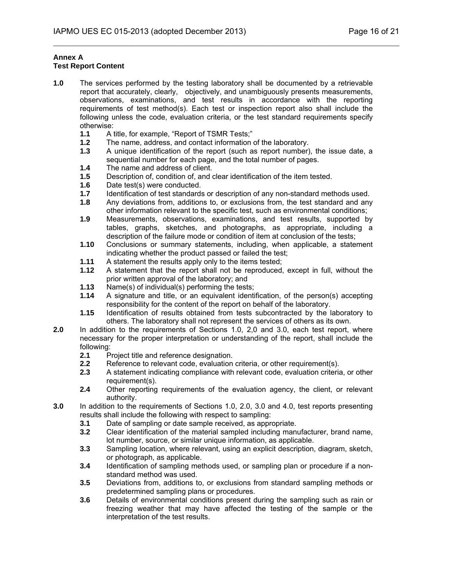#### **Annex A Test Report Content**

- **1.0** The services performed by the testing laboratory shall be documented by a retrievable report that accurately, clearly, objectively, and unambiguously presents measurements, observations, examinations, and test results in accordance with the reporting requirements of test method(s). Each test or inspection report also shall include the following unless the code, evaluation criteria, or the test standard requirements specify
	- otherwise:<br>1.1 At **1.1** A title, for example, "Report of TSMR Tests;"
	- **1.2** The name, address, and contact information of the laboratory.
	- **1.3** A unique identification of the report (such as report number), the issue date, a sequential number for each page, and the total number of pages.

- **1.4** The name and address of client.
- **1.5** Description of, condition of, and clear identification of the item tested.
- **1.6** Date test(s) were conducted.
- **1.7** Identification of test standards or description of any non-standard methods used.
- **1.8** Any deviations from, additions to, or exclusions from, the test standard and any other information relevant to the specific test, such as environmental conditions;
- **1.9** Measurements, observations, examinations, and test results, supported by tables, graphs, sketches, and photographs, as appropriate, including a description of the failure mode or condition of item at conclusion of the tests;
- **1.10** Conclusions or summary statements, including, when applicable, a statement indicating whether the product passed or failed the test;
- **1.11** A statement the results apply only to the items tested;
- **1.12** A statement that the report shall not be reproduced, except in full, without the prior written approval of the laboratory; and
- **1.13** Name(s) of individual(s) performing the tests;
- **1.14** A signature and title, or an equivalent identification, of the person(s) accepting responsibility for the content of the report on behalf of the laboratory.
- **1.15** Identification of results obtained from tests subcontracted by the laboratory to others. The laboratory shall not represent the services of others as its own.
- **2.0** In addition to the requirements of Sections 1.0, 2,0 and 3.0, each test report, where necessary for the proper interpretation or understanding of the report, shall include the following:
	- **2.1** Project title and reference designation.
	- **2.2** Reference to relevant code, evaluation criteria, or other requirement(s).
	- **2.3** A statement indicating compliance with relevant code, evaluation criteria, or other requirement(s).
	- **2.4** Other reporting requirements of the evaluation agency, the client, or relevant authority.
- **3.0** In addition to the requirements of Sections 1.0, 2.0, 3.0 and 4.0, test reports presenting results shall include the following with respect to sampling:
	- **3.1** Date of sampling or date sample received, as appropriate.
	- **3.2** Clear identification of the material sampled including manufacturer, brand name, lot number, source, or similar unique information, as applicable.
	- **3.3** Sampling location, where relevant, using an explicit description, diagram, sketch, or photograph, as applicable.
	- **3.4** Identification of sampling methods used, or sampling plan or procedure if a nonstandard method was used.
	- **3.5** Deviations from, additions to, or exclusions from standard sampling methods or predetermined sampling plans or procedures.
	- **3.6** Details of environmental conditions present during the sampling such as rain or freezing weather that may have affected the testing of the sample or the interpretation of the test results.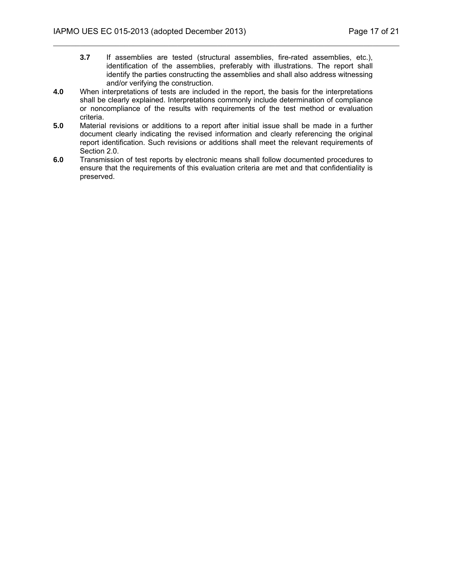**3.7** If assemblies are tested (structural assemblies, fire-rated assemblies, etc.), identification of the assemblies, preferably with illustrations. The report shall identify the parties constructing the assemblies and shall also address witnessing and/or verifying the construction.

- **4.0** When interpretations of tests are included in the report, the basis for the interpretations shall be clearly explained. Interpretations commonly include determination of compliance or noncompliance of the results with requirements of the test method or evaluation criteria.
- **5.0** Material revisions or additions to a report after initial issue shall be made in a further document clearly indicating the revised information and clearly referencing the original report identification. Such revisions or additions shall meet the relevant requirements of Section 2.0.
- **6.0** Transmission of test reports by electronic means shall follow documented procedures to ensure that the requirements of this evaluation criteria are met and that confidentiality is preserved.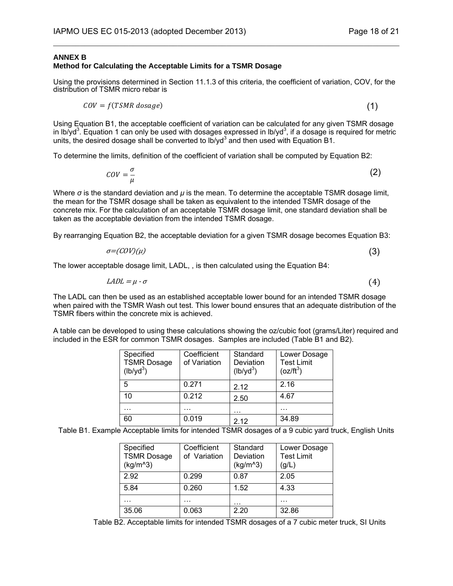### **ANNEX B**

# **Method for Calculating the Acceptable Limits for a TSMR Dosage**

Using the provisions determined in Section 11.1.3 of this criteria, the coefficient of variation, COV, for the distribution of TSMR micro rebar is

 $\mathcal{L}_\mathcal{L} = \mathcal{L}_\mathcal{L} = \mathcal{L}_\mathcal{L} = \mathcal{L}_\mathcal{L} = \mathcal{L}_\mathcal{L} = \mathcal{L}_\mathcal{L} = \mathcal{L}_\mathcal{L} = \mathcal{L}_\mathcal{L} = \mathcal{L}_\mathcal{L} = \mathcal{L}_\mathcal{L} = \mathcal{L}_\mathcal{L} = \mathcal{L}_\mathcal{L} = \mathcal{L}_\mathcal{L} = \mathcal{L}_\mathcal{L} = \mathcal{L}_\mathcal{L} = \mathcal{L}_\mathcal{L} = \mathcal{L}_\mathcal{L}$ 

$$
COV = f(TSMR\,dosage) \tag{1}
$$

Using Equation B1, the acceptable coefficient of variation can be calculated for any given TSMR dosage in lb/yd<sup>3</sup>. Equation 1 can only be used with dosages expressed in lb/yd<sup>3</sup>, if a dosage is required for metric units, the desired dosage shall be converted to  $1b$ /yd<sup>3</sup> and then used with Equation B1.

To determine the limits, definition of the coefficient of variation shall be computed by Equation B2:

$$
cov = \frac{\sigma}{\mu} \tag{2}
$$

Where *σ* is the standard deviation and *μ* is the mean. To determine the acceptable TSMR dosage limit, the mean for the TSMR dosage shall be taken as equivalent to the intended TSMR dosage of the concrete mix. For the calculation of an acceptable TSMR dosage limit, one standard deviation shall be taken as the acceptable deviation from the intended TSMR dosage.

By rearranging Equation B2, the acceptable deviation for a given TSMR dosage becomes Equation B3:

$$
\sigma = (COV)(\mu) \tag{3}
$$

The lower acceptable dosage limit, LADL, , is then calculated using the Equation B4:

$$
LADL = \mu \cdot \sigma \tag{4}
$$

The LADL can then be used as an established acceptable lower bound for an intended TSMR dosage when paired with the TSMR Wash out test. This lower bound ensures that an adequate distribution of the TSMR fibers within the concrete mix is achieved.

A table can be developed to using these calculations showing the oz/cubic foot (grams/Liter) required and included in the ESR for common TSMR dosages. Samples are included (Table B1 and B2).

| Coefficient<br>of Variation | Standard<br>Deviation<br>$(lb/yd^3)$ | Lower Dosage<br><b>Test Limit</b><br>$(oz/ft^3)$ |
|-----------------------------|--------------------------------------|--------------------------------------------------|
| 0.271                       | 2.12                                 | 2.16                                             |
| 0.212                       | 2.50                                 | 4.67                                             |
|                             | .                                    |                                                  |
| 0.019                       | 2.12                                 | 34.89                                            |
| $\sim$                      | .                                    | $- - - - - -$                                    |

Table B1. Example Acceptable limits for intended TSMR dosages of a 9 cubic yard truck, English Units

| Specified<br><b>TSMR Dosage</b><br>$(kg/m^3)$ | Coefficient<br>of Variation | Standard<br>Deviation<br>$(kg/m^3)$ | Lower Dosage<br><b>Test Limit</b><br>(g/L) |
|-----------------------------------------------|-----------------------------|-------------------------------------|--------------------------------------------|
| 2.92                                          | 0.299                       | 0.87                                | 2.05                                       |
| 5.84                                          | 0.260                       | 1.52                                | 4.33                                       |
| .                                             | .                           | .                                   | .                                          |
| 35.06                                         | 0.063                       | 2.20                                | 32.86                                      |

Table B2. Acceptable limits for intended TSMR dosages of a 7 cubic meter truck, SI Units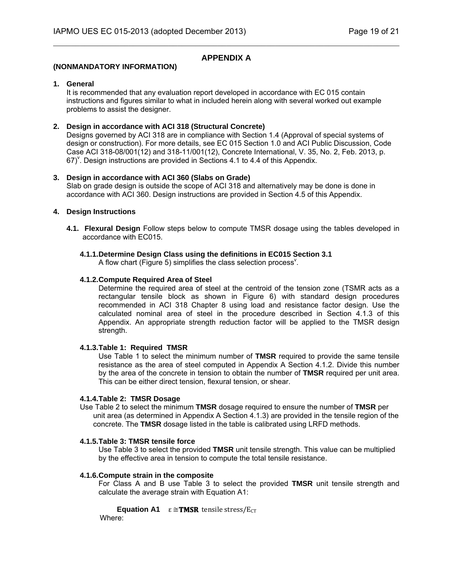# **APPENDIX A**

 $\mathcal{L}_\mathcal{L} = \{ \mathcal{L}_\mathcal{L} = \{ \mathcal{L}_\mathcal{L} = \{ \mathcal{L}_\mathcal{L} = \{ \mathcal{L}_\mathcal{L} = \{ \mathcal{L}_\mathcal{L} = \{ \mathcal{L}_\mathcal{L} = \{ \mathcal{L}_\mathcal{L} = \{ \mathcal{L}_\mathcal{L} = \{ \mathcal{L}_\mathcal{L} = \{ \mathcal{L}_\mathcal{L} = \{ \mathcal{L}_\mathcal{L} = \{ \mathcal{L}_\mathcal{L} = \{ \mathcal{L}_\mathcal{L} = \{ \mathcal{L}_\mathcal{$ 

## **(NONMANDATORY INFORMATION)**

## **1. General**

It is recommended that any evaluation report developed in accordance with EC 015 contain instructions and figures similar to what in included herein along with several worked out example problems to assist the designer.

## **2. Design in accordance with ACI 318 (Structural Concrete)**

Designs governed by ACI 318 are in compliance with Section 1.4 (Approval of special systems of design or construction). For more details, see EC 015 Section 1.0 and ACI Public Discussion, Code Case ACI 318-08/001(12) and 318-11/001(12), Concrete International, V. 35, No. 2, Feb. 2013, p.  $67)$ <sup>Y</sup>. Design instructions are provided in Sections 4.1 to 4.4 of this Appendix.

## **3. Design in accordance with ACI 360 (Slabs on Grade)**

Slab on grade design is outside the scope of ACI 318 and alternatively may be done is done in accordance with ACI 360. Design instructions are provided in Section 4.5 of this Appendix.

## **4. Design Instructions**

**4.1. Flexural Design** Follow steps below to compute TMSR dosage using the tables developed in accordance with EC015.

## **4.1.1. Determine Design Class using the definitions in EC015 Section 3.1**

A flow chart (Figure 5) simplifies the class selection process<sup> $V$ </sup>.

## **4.1.2. Compute Required Area of Steel**

Determine the required area of steel at the centroid of the tension zone (TSMR acts as a rectangular tensile block as shown in Figure 6) with standard design procedures recommended in ACI 318 Chapter 8 using load and resistance factor design. Use the calculated nominal area of steel in the procedure described in Section 4.1.3 of this Appendix. An appropriate strength reduction factor will be applied to the TMSR design strength.

#### **4.1.3. Table 1: Required TMSR**

Use Table 1 to select the minimum number of **TMSR** required to provide the same tensile resistance as the area of steel computed in Appendix A Section 4.1.2. Divide this number by the area of the concrete in tension to obtain the number of **TMSR** required per unit area. This can be either direct tension, flexural tension, or shear.

#### **4.1.4. Table 2: TMSR Dosage**

Use Table 2 to select the minimum **TMSR** dosage required to ensure the number of **TMSR** per unit area (as determined in Appendix A Section 4.1.3) are provided in the tensile region of the concrete. The **TMSR** dosage listed in the table is calibrated using LRFD methods.

#### **4.1.5. Table 3: TMSR tensile force**

Use Table 3 to select the provided **TMSR** unit tensile strength. This value can be multiplied by the effective area in tension to compute the total tensile resistance.

#### **4.1.6. Compute strain in the composite**

For Class A and B use Table 3 to select the provided **TMSR** unit tensile strength and calculate the average strain with Equation A1:

**Equation A1**  $\varepsilon \cong$  **TMSR** tensile stress/E<sub>CT</sub> Where: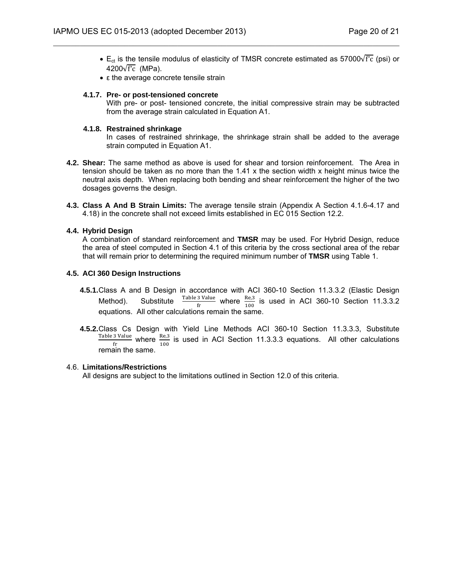•  $E_{ct}$  is the tensile modulus of elasticity of TMSR concrete estimated as 57000 $\sqrt{f'c}$  (psi) or 4200 $\sqrt{f'c}$  (MPa).

 $\mathcal{L}_\mathcal{L} = \{ \mathcal{L}_\mathcal{L} = \{ \mathcal{L}_\mathcal{L} = \{ \mathcal{L}_\mathcal{L} = \{ \mathcal{L}_\mathcal{L} = \{ \mathcal{L}_\mathcal{L} = \{ \mathcal{L}_\mathcal{L} = \{ \mathcal{L}_\mathcal{L} = \{ \mathcal{L}_\mathcal{L} = \{ \mathcal{L}_\mathcal{L} = \{ \mathcal{L}_\mathcal{L} = \{ \mathcal{L}_\mathcal{L} = \{ \mathcal{L}_\mathcal{L} = \{ \mathcal{L}_\mathcal{L} = \{ \mathcal{L}_\mathcal{$ 

• ε the average concrete tensile strain

#### **4.1.7. Pre- or post-tensioned concrete**

 With pre- or post- tensioned concrete, the initial compressive strain may be subtracted from the average strain calculated in Equation A1.

#### **4.1.8. Restrained shrinkage**

 In cases of restrained shrinkage, the shrinkage strain shall be added to the average strain computed in Equation A1.

- **4.2. Shear:** The same method as above is used for shear and torsion reinforcement. The Area in tension should be taken as no more than the  $1.41 \times$  the section width x height minus twice the neutral axis depth. When replacing both bending and shear reinforcement the higher of the two dosages governs the design.
- **4.3. Class A And B Strain Limits:** The average tensile strain (Appendix A Section 4.1.6-4.17 and 4.18) in the concrete shall not exceed limits established in EC 015 Section 12.2.

#### **4.4. Hybrid Design**

A combination of standard reinforcement and **TMSR** may be used. For Hybrid Design, reduce the area of steel computed in Section 4.1 of this criteria by the cross sectional area of the rebar that will remain prior to determining the required minimum number of **TMSR** using Table 1.

#### **4.5. ACI 360 Design Instructions**

- **4.5.1.** Class A and B Design in accordance with ACI 360-10 Section 11.3.3.2 (Elastic Design Method). Substitute  $\frac{\text{Table 3 Value}}{\text{fr}}$  where  $\frac{\text{Re},3}{100}$  is used in ACI 360-10 Section 11.3.3.2 equations. All other calculations remain the same.
- **4.5.2.** Class Cs Design with Yield Line Methods ACI 360-10 Section 11.3.3.3, Substitute  $\frac{\text{Table 3 Value}}{\text{fr}}$  where  $\frac{\text{Re},3}{100}$  is used in ACI Section 11.3.3.3 equations. All other calculations remain the same.

## 4.6. **Limitations/Restrictions**

All designs are subject to the limitations outlined in Section 12.0 of this criteria.